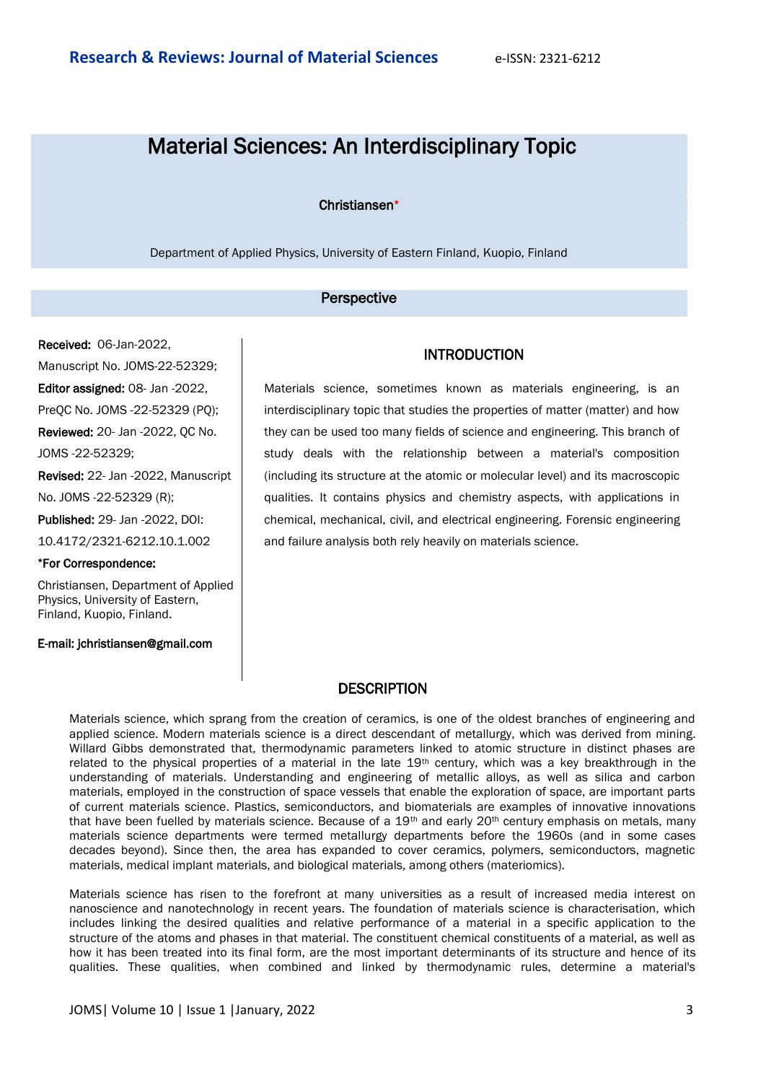# Material Sciences: An Interdisciplinary Topic

#### Christiansen\*

Department of Applied Physics, University of Eastern Finland, Kuopio, Finland

#### Perspective

Received: 06-Jan-2022, Manuscript No. JOMS-22-52329; Editor assigned: 08- Jan -2022, PreQC No. JOMS -22-52329 (PQ); Reviewed: 20- Jan -2022, QC No. JOMS -22-52329; Revised: 22- Jan -2022, Manuscript No. JOMS -22-52329 (R); Published: 29- Jan -2022, DOI: 10.4172/2321-6212.10.1.002 \*For Correspondence:

Christiansen, Department of Applied Physics, University of Eastern, Finland, Kuopio, Finland.

### E-mail: jchristiansen@gmail.com

## INTRODUCTION

Materials science, sometimes known as materials engineering, is an interdisciplinary topic that studies the properties of matter (matter) and how they can be used too many fields of science and engineering. This branch of study deals with the relationship between a material's composition (including its structure at the atomic or molecular level) and its macroscopic qualities. It contains physics and chemistry aspects, with applications in chemical, mechanical, civil, and electrical engineering. Forensic engineering and failure analysis both rely heavily on materials science.

## **DESCRIPTION**

Materials science, which sprang from the creation of ceramics, is one of the oldest branches of engineering and applied science. Modern materials science is a direct descendant of metallurgy, which was derived from mining. Willard Gibbs demonstrated that, thermodynamic parameters linked to atomic structure in distinct phases are related to the physical properties of a material in the late 19<sup>th</sup> century, which was a key breakthrough in the understanding of materials. Understanding and engineering of metallic alloys, as well as silica and carbon materials, employed in the construction of space vessels that enable the exploration of space, are important parts of current materials science. Plastics, semiconductors, and biomaterials are examples of innovative innovations that have been fuelled by materials science. Because of a 19<sup>th</sup> and early 20<sup>th</sup> century emphasis on metals, many materials science departments were termed metallurgy departments before the 1960s (and in some cases decades beyond). Since then, the area has expanded to cover ceramics, polymers, semiconductors, magnetic materials, medical implant materials, and biological materials, among others (materiomics).

Materials science has risen to the forefront at many universities as a result of increased media interest on nanoscience and nanotechnology in recent years. The foundation of materials science is characterisation, which includes linking the desired qualities and relative performance of a material in a specific application to the structure of the atoms and phases in that material. The constituent chemical constituents of a material, as well as how it has been treated into its final form, are the most important determinants of its structure and hence of its qualities. These qualities, when combined and linked by thermodynamic rules, determine a material's